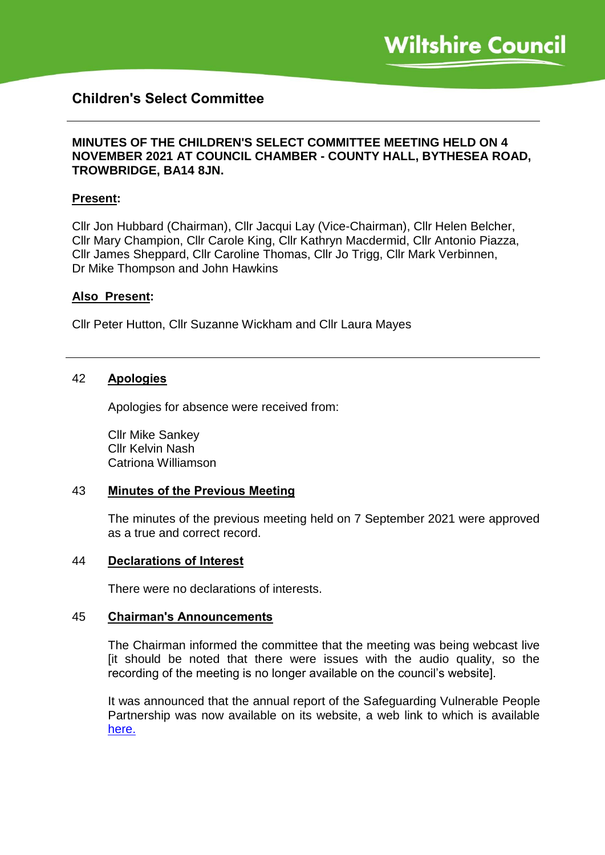# **Children's Select Committee**

### **MINUTES OF THE CHILDREN'S SELECT COMMITTEE MEETING HELD ON 4 NOVEMBER 2021 AT COUNCIL CHAMBER - COUNTY HALL, BYTHESEA ROAD, TROWBRIDGE, BA14 8JN.**

#### **Present:**

Cllr Jon Hubbard (Chairman), Cllr Jacqui Lay (Vice-Chairman), Cllr Helen Belcher, Cllr Mary Champion, Cllr Carole King, Cllr Kathryn Macdermid, Cllr Antonio Piazza, Cllr James Sheppard, Cllr Caroline Thomas, Cllr Jo Trigg, Cllr Mark Verbinnen, Dr Mike Thompson and John Hawkins

#### **Also Present:**

Cllr Peter Hutton, Cllr Suzanne Wickham and Cllr Laura Mayes

#### 42 **Apologies**

Apologies for absence were received from:

Cllr Mike Sankey Cllr Kelvin Nash Catriona Williamson

#### 43 **Minutes of the Previous Meeting**

The minutes of the previous meeting held on 7 September 2021 were approved as a true and correct record.

#### 44 **Declarations of Interest**

There were no declarations of interests.

#### 45 **Chairman's Announcements**

The Chairman informed the committee that the meeting was being webcast live [it should be noted that there were issues with the audio quality, so the recording of the meeting is no longer available on the council's website].

It was announced that the annual report of the Safeguarding Vulnerable People Partnership was now available on its website, a web link to which is available [here.](https://www.wiltshirescb.org.uk/news/svpp-annual-report-2020-21/)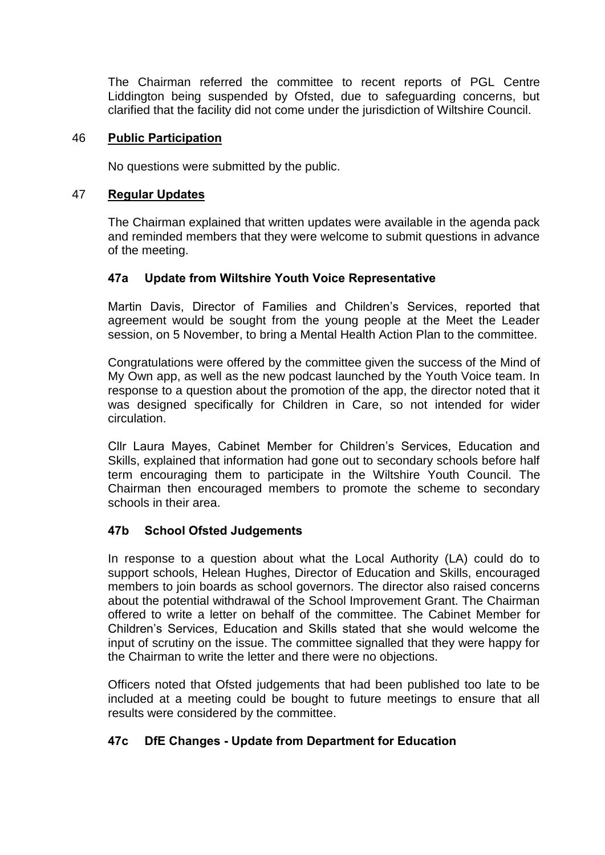The Chairman referred the committee to recent reports of PGL Centre Liddington being suspended by Ofsted, due to safeguarding concerns, but clarified that the facility did not come under the jurisdiction of Wiltshire Council.

### 46 **Public Participation**

No questions were submitted by the public.

#### 47 **Regular Updates**

The Chairman explained that written updates were available in the agenda pack and reminded members that they were welcome to submit questions in advance of the meeting.

### **47a Update from Wiltshire Youth Voice Representative**

Martin Davis, Director of Families and Children's Services, reported that agreement would be sought from the young people at the Meet the Leader session, on 5 November, to bring a Mental Health Action Plan to the committee.

Congratulations were offered by the committee given the success of the Mind of My Own app, as well as the new podcast launched by the Youth Voice team. In response to a question about the promotion of the app, the director noted that it was designed specifically for Children in Care, so not intended for wider circulation.

Cllr Laura Mayes, Cabinet Member for Children's Services, Education and Skills, explained that information had gone out to secondary schools before half term encouraging them to participate in the Wiltshire Youth Council. The Chairman then encouraged members to promote the scheme to secondary schools in their area.

### **47b School Ofsted Judgements**

In response to a question about what the Local Authority (LA) could do to support schools, Helean Hughes, Director of Education and Skills, encouraged members to join boards as school governors. The director also raised concerns about the potential withdrawal of the School Improvement Grant. The Chairman offered to write a letter on behalf of the committee. The Cabinet Member for Children's Services, Education and Skills stated that she would welcome the input of scrutiny on the issue. The committee signalled that they were happy for the Chairman to write the letter and there were no objections.

Officers noted that Ofsted judgements that had been published too late to be included at a meeting could be bought to future meetings to ensure that all results were considered by the committee.

### **47c DfE Changes - Update from Department for Education**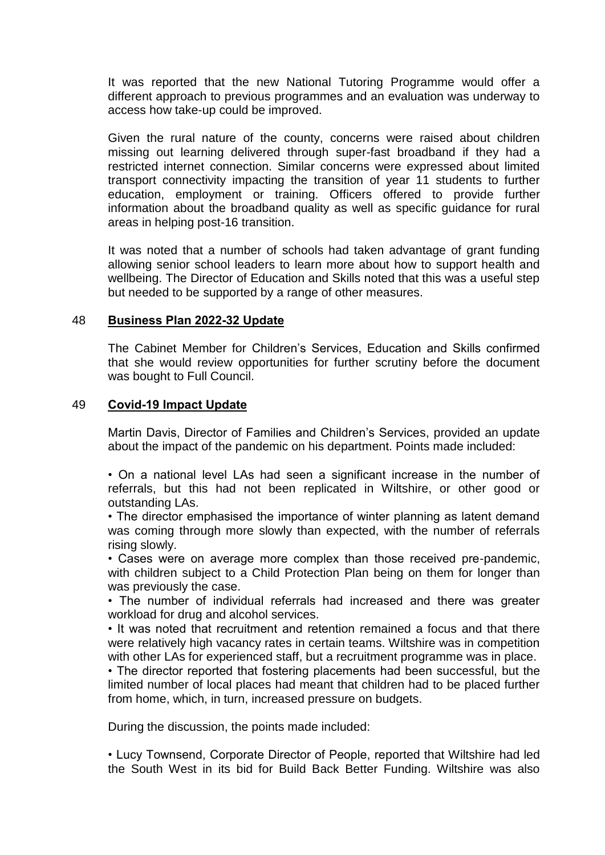It was reported that the new National Tutoring Programme would offer a different approach to previous programmes and an evaluation was underway to access how take-up could be improved.

Given the rural nature of the county, concerns were raised about children missing out learning delivered through super-fast broadband if they had a restricted internet connection. Similar concerns were expressed about limited transport connectivity impacting the transition of year 11 students to further education, employment or training. Officers offered to provide further information about the broadband quality as well as specific guidance for rural areas in helping post-16 transition.

It was noted that a number of schools had taken advantage of grant funding allowing senior school leaders to learn more about how to support health and wellbeing. The Director of Education and Skills noted that this was a useful step but needed to be supported by a range of other measures.

#### 48 **Business Plan 2022-32 Update**

The Cabinet Member for Children's Services, Education and Skills confirmed that she would review opportunities for further scrutiny before the document was bought to Full Council.

#### 49 **Covid-19 Impact Update**

Martin Davis, Director of Families and Children's Services, provided an update about the impact of the pandemic on his department. Points made included:

• On a national level LAs had seen a significant increase in the number of referrals, but this had not been replicated in Wiltshire, or other good or outstanding LAs.

• The director emphasised the importance of winter planning as latent demand was coming through more slowly than expected, with the number of referrals rising slowly.

• Cases were on average more complex than those received pre-pandemic, with children subject to a Child Protection Plan being on them for longer than was previously the case.

• The number of individual referrals had increased and there was greater workload for drug and alcohol services.

• It was noted that recruitment and retention remained a focus and that there were relatively high vacancy rates in certain teams. Wiltshire was in competition with other LAs for experienced staff, but a recruitment programme was in place.

• The director reported that fostering placements had been successful, but the limited number of local places had meant that children had to be placed further from home, which, in turn, increased pressure on budgets.

During the discussion, the points made included:

• Lucy Townsend, Corporate Director of People, reported that Wiltshire had led the South West in its bid for Build Back Better Funding. Wiltshire was also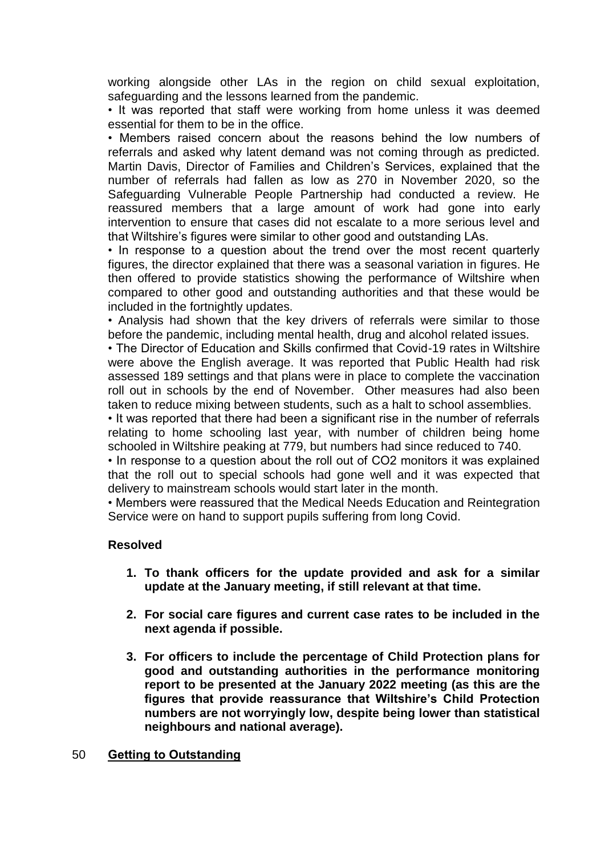working alongside other LAs in the region on child sexual exploitation, safeguarding and the lessons learned from the pandemic.

• It was reported that staff were working from home unless it was deemed essential for them to be in the office.

• Members raised concern about the reasons behind the low numbers of referrals and asked why latent demand was not coming through as predicted. Martin Davis, Director of Families and Children's Services, explained that the number of referrals had fallen as low as 270 in November 2020, so the Safeguarding Vulnerable People Partnership had conducted a review. He reassured members that a large amount of work had gone into early intervention to ensure that cases did not escalate to a more serious level and that Wiltshire's figures were similar to other good and outstanding LAs.

• In response to a question about the trend over the most recent quarterly figures, the director explained that there was a seasonal variation in figures. He then offered to provide statistics showing the performance of Wiltshire when compared to other good and outstanding authorities and that these would be included in the fortnightly updates.

• Analysis had shown that the key drivers of referrals were similar to those before the pandemic, including mental health, drug and alcohol related issues.

• The Director of Education and Skills confirmed that Covid-19 rates in Wiltshire were above the English average. It was reported that Public Health had risk assessed 189 settings and that plans were in place to complete the vaccination roll out in schools by the end of November. Other measures had also been taken to reduce mixing between students, such as a halt to school assemblies.

• It was reported that there had been a significant rise in the number of referrals relating to home schooling last year, with number of children being home schooled in Wiltshire peaking at 779, but numbers had since reduced to 740.

• In response to a question about the roll out of CO2 monitors it was explained that the roll out to special schools had gone well and it was expected that delivery to mainstream schools would start later in the month.

• Members were reassured that the Medical Needs Education and Reintegration Service were on hand to support pupils suffering from long Covid.

#### **Resolved**

- **1. To thank officers for the update provided and ask for a similar update at the January meeting, if still relevant at that time.**
- **2. For social care figures and current case rates to be included in the next agenda if possible.**
- **3. For officers to include the percentage of Child Protection plans for good and outstanding authorities in the performance monitoring report to be presented at the January 2022 meeting (as this are the figures that provide reassurance that Wiltshire's Child Protection numbers are not worryingly low, despite being lower than statistical neighbours and national average).**

#### 50 **Getting to Outstanding**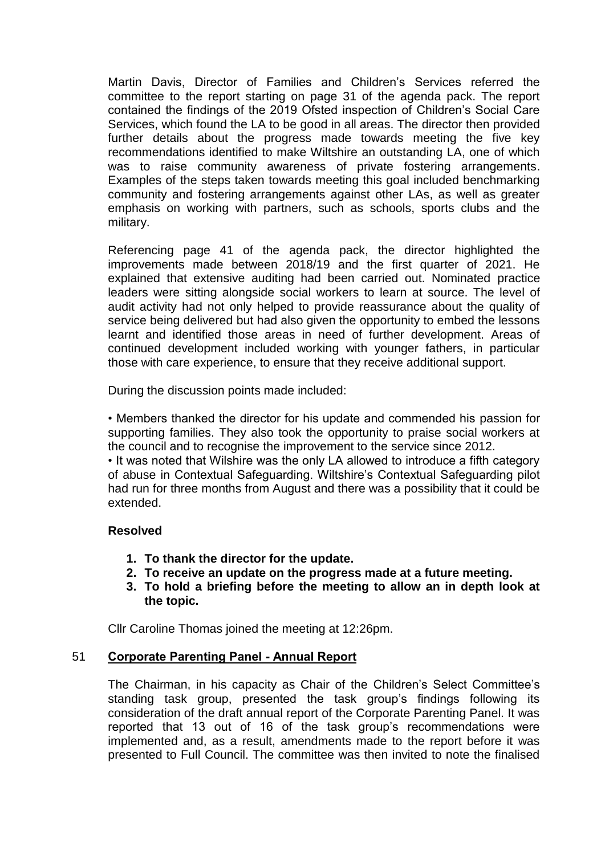Martin Davis, Director of Families and Children's Services referred the committee to the report starting on page 31 of the agenda pack. The report contained the findings of the 2019 Ofsted inspection of Children's Social Care Services, which found the LA to be good in all areas. The director then provided further details about the progress made towards meeting the five key recommendations identified to make Wiltshire an outstanding LA, one of which was to raise community awareness of private fostering arrangements. Examples of the steps taken towards meeting this goal included benchmarking community and fostering arrangements against other LAs, as well as greater emphasis on working with partners, such as schools, sports clubs and the military.

Referencing page 41 of the agenda pack, the director highlighted the improvements made between 2018/19 and the first quarter of 2021. He explained that extensive auditing had been carried out. Nominated practice leaders were sitting alongside social workers to learn at source. The level of audit activity had not only helped to provide reassurance about the quality of service being delivered but had also given the opportunity to embed the lessons learnt and identified those areas in need of further development. Areas of continued development included working with younger fathers, in particular those with care experience, to ensure that they receive additional support.

During the discussion points made included:

• Members thanked the director for his update and commended his passion for supporting families. They also took the opportunity to praise social workers at the council and to recognise the improvement to the service since 2012.

• It was noted that Wilshire was the only LA allowed to introduce a fifth category of abuse in Contextual Safeguarding. Wiltshire's Contextual Safeguarding pilot had run for three months from August and there was a possibility that it could be extended.

### **Resolved**

- **1. To thank the director for the update.**
- **2. To receive an update on the progress made at a future meeting.**
- **3. To hold a briefing before the meeting to allow an in depth look at the topic.**

Cllr Caroline Thomas joined the meeting at 12:26pm.

### 51 **Corporate Parenting Panel - Annual Report**

The Chairman, in his capacity as Chair of the Children's Select Committee's standing task group, presented the task group's findings following its consideration of the draft annual report of the Corporate Parenting Panel. It was reported that 13 out of 16 of the task group's recommendations were implemented and, as a result, amendments made to the report before it was presented to Full Council. The committee was then invited to note the finalised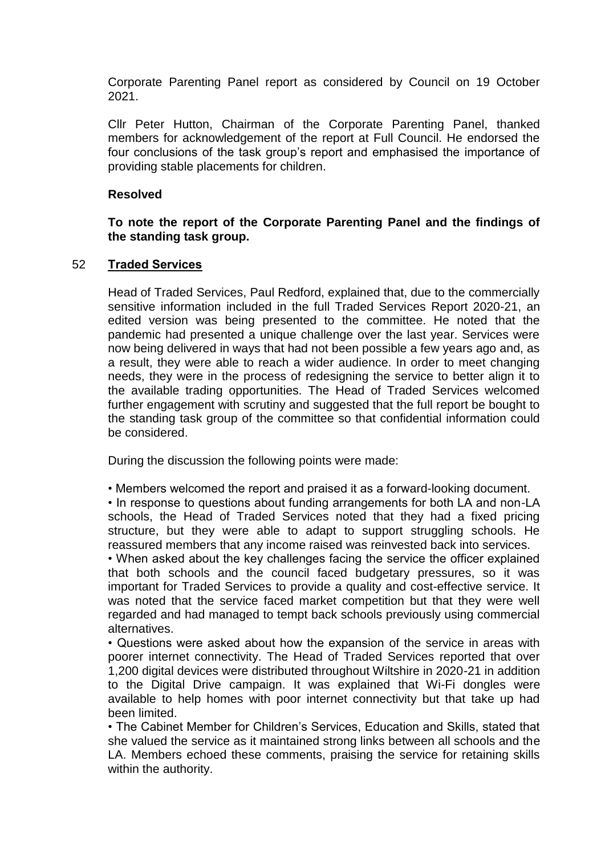Corporate Parenting Panel report as considered by Council on 19 October 2021.

Cllr Peter Hutton, Chairman of the Corporate Parenting Panel, thanked members for acknowledgement of the report at Full Council. He endorsed the four conclusions of the task group's report and emphasised the importance of providing stable placements for children.

### **Resolved**

### **To note the report of the Corporate Parenting Panel and the findings of the standing task group.**

### 52 **Traded Services**

Head of Traded Services, Paul Redford, explained that, due to the commercially sensitive information included in the full Traded Services Report 2020-21, an edited version was being presented to the committee. He noted that the pandemic had presented a unique challenge over the last year. Services were now being delivered in ways that had not been possible a few years ago and, as a result, they were able to reach a wider audience. In order to meet changing needs, they were in the process of redesigning the service to better align it to the available trading opportunities. The Head of Traded Services welcomed further engagement with scrutiny and suggested that the full report be bought to the standing task group of the committee so that confidential information could be considered.

During the discussion the following points were made:

• Members welcomed the report and praised it as a forward-looking document.

• In response to questions about funding arrangements for both LA and non-LA schools, the Head of Traded Services noted that they had a fixed pricing structure, but they were able to adapt to support struggling schools. He reassured members that any income raised was reinvested back into services.

• When asked about the key challenges facing the service the officer explained that both schools and the council faced budgetary pressures, so it was important for Traded Services to provide a quality and cost-effective service. It was noted that the service faced market competition but that they were well regarded and had managed to tempt back schools previously using commercial alternatives.

• Questions were asked about how the expansion of the service in areas with poorer internet connectivity. The Head of Traded Services reported that over 1,200 digital devices were distributed throughout Wiltshire in 2020-21 in addition to the Digital Drive campaign. It was explained that Wi-Fi dongles were available to help homes with poor internet connectivity but that take up had been limited.

• The Cabinet Member for Children's Services, Education and Skills, stated that she valued the service as it maintained strong links between all schools and the LA. Members echoed these comments, praising the service for retaining skills within the authority.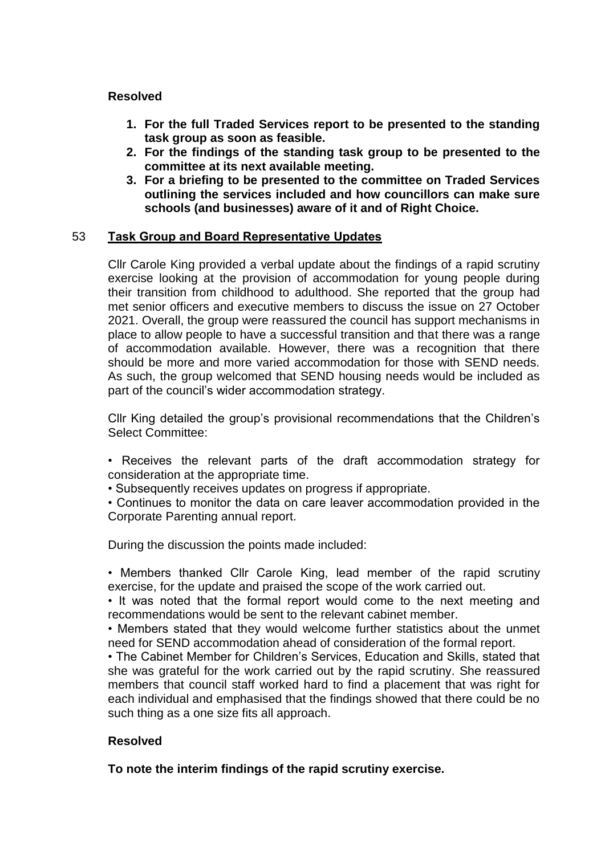### **Resolved**

- **1. For the full Traded Services report to be presented to the standing task group as soon as feasible.**
- **2. For the findings of the standing task group to be presented to the committee at its next available meeting.**
- **3. For a briefing to be presented to the committee on Traded Services outlining the services included and how councillors can make sure schools (and businesses) aware of it and of Right Choice.**

### 53 **Task Group and Board Representative Updates**

Cllr Carole King provided a verbal update about the findings of a rapid scrutiny exercise looking at the provision of accommodation for young people during their transition from childhood to adulthood. She reported that the group had met senior officers and executive members to discuss the issue on 27 October 2021. Overall, the group were reassured the council has support mechanisms in place to allow people to have a successful transition and that there was a range of accommodation available. However, there was a recognition that there should be more and more varied accommodation for those with SEND needs. As such, the group welcomed that SEND housing needs would be included as part of the council's wider accommodation strategy.

Cllr King detailed the group's provisional recommendations that the Children's Select Committee:

- Receives the relevant parts of the draft accommodation strategy for consideration at the appropriate time.
- Subsequently receives updates on progress if appropriate.
- Continues to monitor the data on care leaver accommodation provided in the Corporate Parenting annual report.

During the discussion the points made included:

• Members thanked Cllr Carole King, lead member of the rapid scrutiny exercise, for the update and praised the scope of the work carried out.

• It was noted that the formal report would come to the next meeting and recommendations would be sent to the relevant cabinet member.

• Members stated that they would welcome further statistics about the unmet need for SEND accommodation ahead of consideration of the formal report.

• The Cabinet Member for Children's Services, Education and Skills, stated that she was grateful for the work carried out by the rapid scrutiny. She reassured members that council staff worked hard to find a placement that was right for each individual and emphasised that the findings showed that there could be no such thing as a one size fits all approach.

### **Resolved**

**To note the interim findings of the rapid scrutiny exercise.**